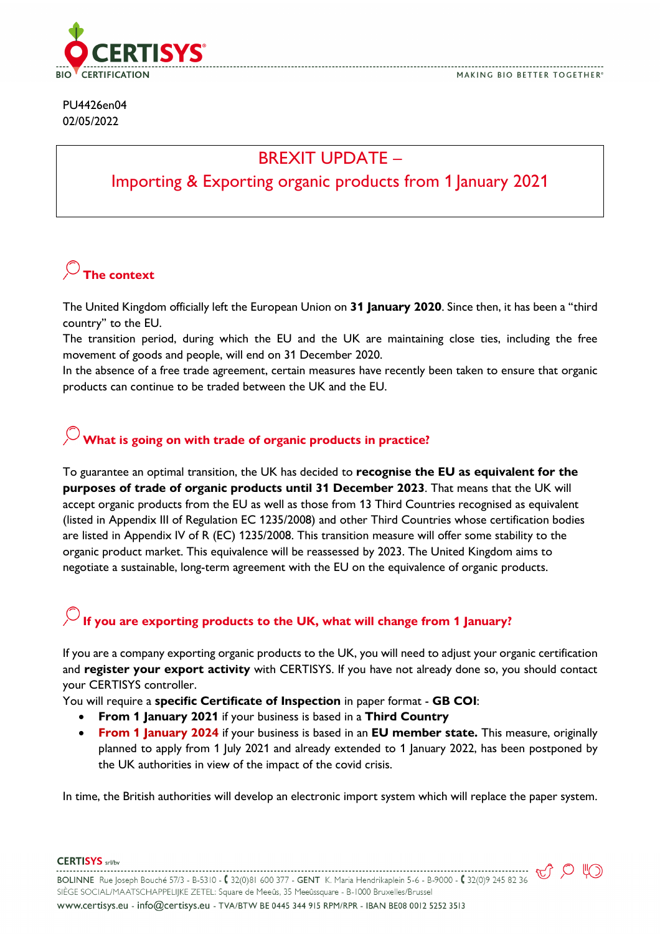

#### PU4426en04 02/05/2022

### BREXIT UPDATE –

#### Importing & Exporting organic products from 1 January 2021

# **The context**

The United Kingdom officially left the European Union on **31 January 2020**. Since then, it has been a "third country" to the EU.

The transition period, during which the EU and the UK are maintaining close ties, including the free movement of goods and people, will end on 31 December 2020.

In the absence of a free trade agreement, certain measures have recently been taken to ensure that organic products can continue to be traded between the UK and the EU.

### **What is going on with trade of organic products in practice?**

To guarantee an optimal transition, the UK has decided to **recognise the EU as equivalent for the purposes of trade of organic products until 31 December 2023**. That means that the UK will accept organic products from the EU as well as those from 13 Third Countries recognised as equivalent (listed in Appendix III of Regulation EC 1235/2008) and other Third Countries whose certification bodies are listed in Appendix IV of R (EC) 1235/2008. This transition measure will offer some stability to the organic product market. This equivalence will be reassessed by 2023. The United Kingdom aims to negotiate a sustainable, long-term agreement with the EU on the equivalence of organic products.

# **If you are exporting products to the UK, what will change from 1 January?**

If you are a company exporting organic products to the UK, you will need to adjust your organic certification and **register your export activity** with CERTISYS. If you have not already done so, you should contact your CERTISYS controller.

You will require a **specific Certificate of Inspection** in paper format - **GB COI**:

- **From 1 January 2021** if your business is based in a **Third Country**
- **From 1 January 2024** if your business is based in an **EU member state.** This measure, originally planned to apply from 1 July 2021 and already extended to 1 January 2022, has been postponed by the UK authorities in view of the impact of the covid crisis.

In time, the British authorities will develop an electronic import system which will replace the paper system.

**CERTISYS** srl/bv